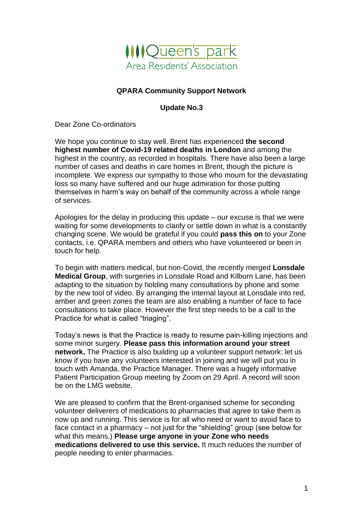

## **QPARA Community Support Network**

## **Update No.3**

Dear Zone Co-ordinators

We hope you continue to stay well. Brent has experienced **the second highest number of Covid-19 related deaths in London** and among the highest in the country, as recorded in hospitals. There have also been a large number of cases and deaths in care homes in Brent, though the picture is incomplete. We express our sympathy to those who mourn for the devastating loss so many have suffered and our huge admiration for those putting themselves in harm's way on behalf of the community across a whole range of services.

Apologies for the delay in producing this update – our excuse is that we were waiting for some developments to clarify or settle down in what is a constantly changing scene. We would be grateful if you could **pass this on** to your Zone contacts, i.e. QPARA members and others who have volunteered or been in touch for help.

To begin with matters medical, but non-Covid, the recently merged **Lonsdale Medical Group**, with surgeries in Lonsdale Road and Kilburn Lane, has been adapting to the situation by holding many consultations by phone and some by the new tool of video. By arranging the internal layout at Lonsdale into red, amber and green zones the team are also enabling a number of face to face consultations to take place. However the first step needs to be a call to the Practice for what is called "triaging".

Today's news is that the Practice is ready to resume pain-killing injections and some minor surgery. **Please pass this information around your street network.** The Practice is also building up a volunteer support network: let us know if you have any volunteers interested in joining and we will put you in touch with Amanda, the Practice Manager. There was a hugely informative Patient Participation Group meeting by Zoom on 29 April. A record will soon be on the LMG website.

We are pleased to confirm that the Brent-organised scheme for seconding volunteer deliverers of medications to pharmacies that agree to take them is now up and running. This service is for all who need or want to avoid face to face contact in a pharmacy – not just for the "shielding" group (see below for what this means.) **Please urge anyone in your Zone who needs medications delivered to use this service.** It much reduces the number of people needing to enter pharmacies.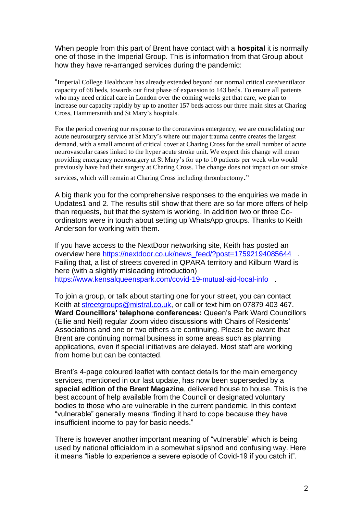When people from this part of Brent have contact with a **hospital** it is normally one of those in the Imperial Group. This is information from that Group about how they have re-arranged services during the pandemic:

"Imperial College Healthcare has already extended beyond our normal critical care/ventilator capacity of 68 beds, towards our first phase of expansion to 143 beds. To ensure all patients who may need critical care in London over the coming weeks get that care, we plan to increase our capacity rapidly by up to another 157 beds across our three main sites at Charing Cross, Hammersmith and St Mary's hospitals.

For the period covering our response to the coronavirus emergency, we are consolidating our acute neurosurgery service at St Mary's where our major trauma centre creates the largest demand, with a small amount of critical cover at Charing Cross for the small number of acute neurovascular cases linked to the hyper acute stroke unit. We expect this change will mean providing emergency neurosurgery at St Mary's for up to 10 patients per week who would previously have had their surgery at Charing Cross. The change does not impact on our stroke

services, which will remain at Charing Cross including thrombectomy."

A big thank you for the comprehensive responses to the enquiries we made in Updates1 and 2. The results still show that there are so far more offers of help than requests, but that the system is working. In addition two or three Coordinators were in touch about setting up WhatsApp groups. Thanks to Keith Anderson for working with them.

If you have access to the NextDoor networking site, Keith has posted an overview here [https://nextdoor.co.uk/news\\_feed/?post=17592194085644](https://nextdoor.co.uk/news_feed/?post=17592194085644) Failing that, a list of streets covered in QPARA territory and Kilburn Ward is here (with a slightly misleading introduction) <https://www.kensalqueenspark.com/covid-19-mutual-aid-local-info> .

To join a group, or talk about starting one for your street, you can contact Keith at [streetgroups@mistral.co.uk,](mailto:streetgroups@mistral.co.uk) or call or text him on 07879 403 467. **Ward Councillors' telephone conferences:** Queen's Park Ward Councillors (Ellie and Neil) regular Zoom video discussions with Chairs of Residents' Associations and one or two others are continuing. Please be aware that Brent are continuing normal business in some areas such as planning applications, even if special initiatives are delayed. Most staff are working from home but can be contacted.

Brent's 4-page coloured leaflet with contact details for the main emergency services, mentioned in our last update, has now been superseded by a **special edition of the Brent Magazine**, delivered house to house. This is the best account of help available from the Council or designated voluntary bodies to those who are vulnerable in the current pandemic. In this context "vulnerable" generally means "finding it hard to cope because they have insufficient income to pay for basic needs."

There is however another important meaning of "vulnerable" which is being used by national officialdom in a somewhat slipshod and confusing way. Here it means "liable to experience a severe episode of Covid-19 if you catch it".